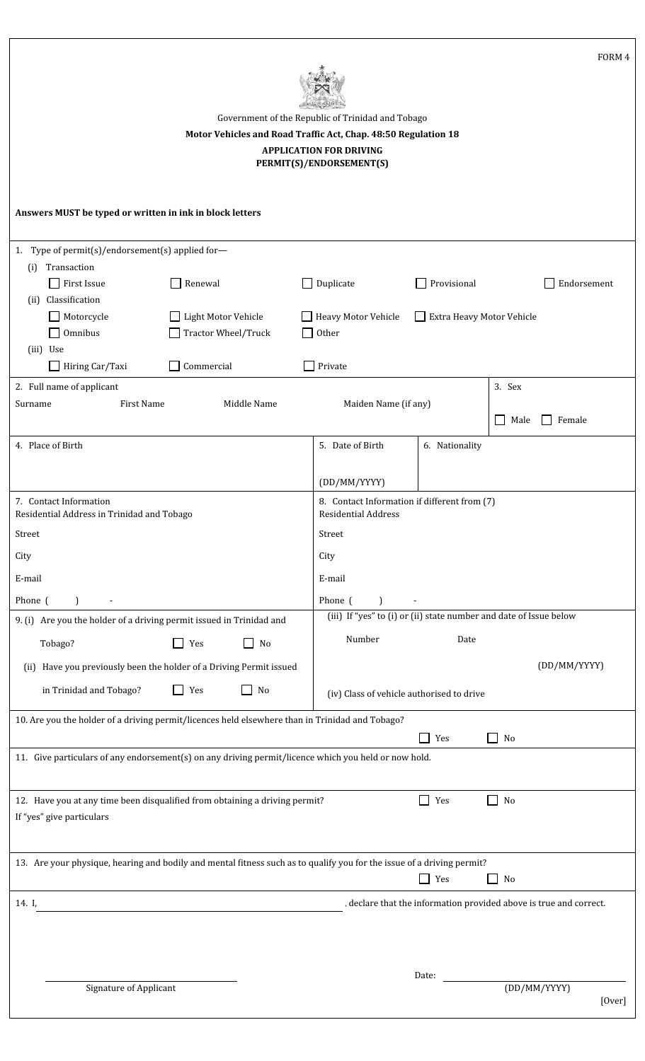| FORM 4<br>Government of the Republic of Trinidad and Tobago<br>Motor Vehicles and Road Traffic Act, Chap. 48:50 Regulation 18<br><b>APPLICATION FOR DRIVING</b><br>PERMIT(S)/ENDORSEMENT(S)        |        |  |  |  |  |  |  |
|----------------------------------------------------------------------------------------------------------------------------------------------------------------------------------------------------|--------|--|--|--|--|--|--|
| Answers MUST be typed or written in ink in block letters                                                                                                                                           |        |  |  |  |  |  |  |
| 1. Type of permit(s)/endorsement(s) applied for-                                                                                                                                                   |        |  |  |  |  |  |  |
| Transaction<br>(i)                                                                                                                                                                                 |        |  |  |  |  |  |  |
| Duplicate<br>Provisional<br>$\Box$ First Issue<br>Renewal<br>Endorsement<br>$\Box$                                                                                                                 |        |  |  |  |  |  |  |
| Classification<br>(ii)<br>Light Motor Vehicle<br><b>Heavy Motor Vehicle</b><br>Extra Heavy Motor Vehicle<br>Motorcycle<br>Omnibus<br>Tractor Wheel/Truck<br>Other<br>(iii) Use                     |        |  |  |  |  |  |  |
| Hiring Car/Taxi<br>Commercial<br>Private                                                                                                                                                           |        |  |  |  |  |  |  |
| 3. Sex<br>2. Full name of applicant                                                                                                                                                                |        |  |  |  |  |  |  |
| <b>First Name</b><br>Middle Name<br>Maiden Name (if any)<br>Surname                                                                                                                                |        |  |  |  |  |  |  |
| Female<br>Male<br>$\mathsf{L}$                                                                                                                                                                     |        |  |  |  |  |  |  |
| 4. Place of Birth<br>5. Date of Birth<br>6. Nationality                                                                                                                                            |        |  |  |  |  |  |  |
| (DD/MM/YYYY)                                                                                                                                                                                       |        |  |  |  |  |  |  |
| 8. Contact Information if different from (7)<br>7. Contact Information<br>Residential Address in Trinidad and Tobago<br>Residential Address                                                        |        |  |  |  |  |  |  |
| Street<br>Street                                                                                                                                                                                   |        |  |  |  |  |  |  |
| City<br>City                                                                                                                                                                                       |        |  |  |  |  |  |  |
| E-mail<br>E-mail                                                                                                                                                                                   |        |  |  |  |  |  |  |
|                                                                                                                                                                                                    |        |  |  |  |  |  |  |
| Phone (<br>Phone (<br>$\mathcal{L}$<br>$\mathcal{L}$<br>(iii) If "yes" to (i) or (ii) state number and date of Issue below<br>9. (i) Are you the holder of a driving permit issued in Trinidad and |        |  |  |  |  |  |  |
| Number                                                                                                                                                                                             |        |  |  |  |  |  |  |
| Date<br>Tobago?<br>Yes<br>No<br>$\Box$<br>$\mathsf{L}$                                                                                                                                             |        |  |  |  |  |  |  |
| (DD/MM/YYYY)<br>(ii) Have you previously been the holder of a Driving Permit issued                                                                                                                |        |  |  |  |  |  |  |
| in Trinidad and Tobago?<br>Yes<br>No<br>(iv) Class of vehicle authorised to drive                                                                                                                  |        |  |  |  |  |  |  |
| 10. Are you the holder of a driving permit/licences held elsewhere than in Trinidad and Tobago?                                                                                                    |        |  |  |  |  |  |  |
| Yes<br>No<br>$\sim$                                                                                                                                                                                |        |  |  |  |  |  |  |
| 11. Give particulars of any endorsement(s) on any driving permit/licence which you held or now hold.                                                                                               |        |  |  |  |  |  |  |
|                                                                                                                                                                                                    |        |  |  |  |  |  |  |
| 12. Have you at any time been disqualified from obtaining a driving permit?<br>П<br>Yes<br>No<br>$\mathcal{L}$<br>If "yes" give particulars                                                        |        |  |  |  |  |  |  |
|                                                                                                                                                                                                    |        |  |  |  |  |  |  |
| 13. Are your physique, hearing and bodily and mental fitness such as to qualify you for the issue of a driving permit?<br>$\Box$<br>Yes<br>No                                                      |        |  |  |  |  |  |  |
| , declare that the information provided above is true and correct.<br>14. I,                                                                                                                       |        |  |  |  |  |  |  |
|                                                                                                                                                                                                    |        |  |  |  |  |  |  |
|                                                                                                                                                                                                    |        |  |  |  |  |  |  |
| Date:<br><b>Signature of Applicant</b><br>(DD/MM/YYYY)                                                                                                                                             | [Over] |  |  |  |  |  |  |